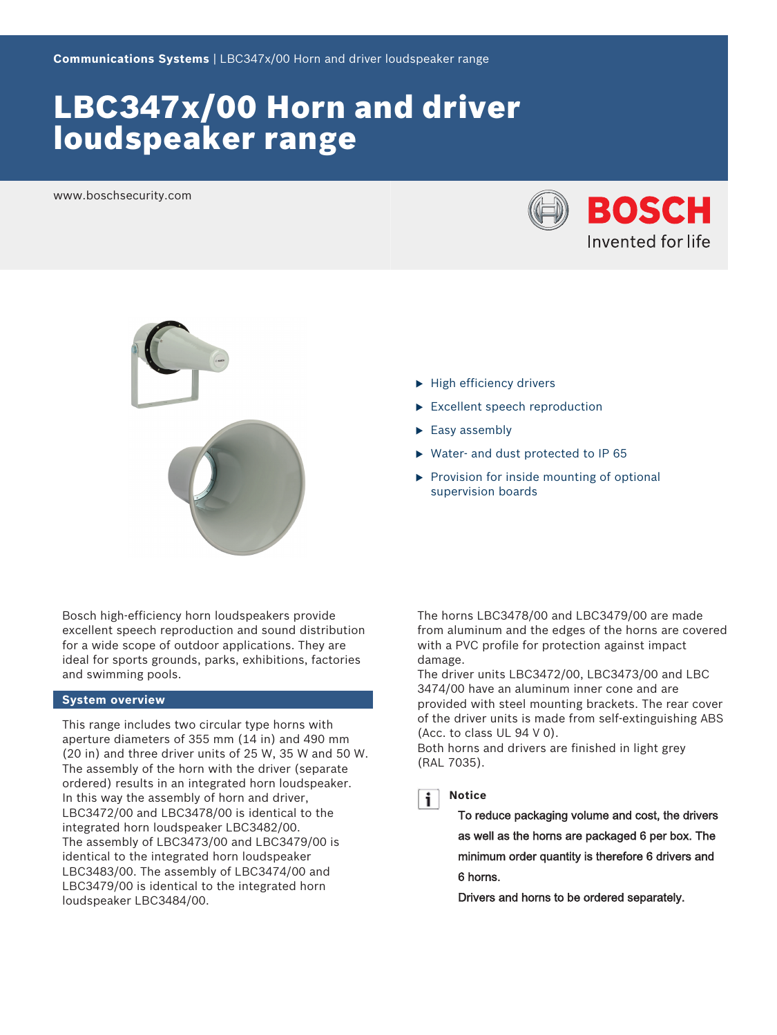# LBC347x/00 Horn and driver loudspeaker range

www.boschsecurity.com





Bosch high‑efficiency horn loudspeakers provide excellent speech reproduction and sound distribution for a wide scope of outdoor applications. They are ideal for sports grounds, parks, exhibitions, factories and swimming pools.

#### **System overview**

This range includes two circular type horns with aperture diameters of 355 mm (14 in) and 490 mm (20 in) and three driver units of 25 W, 35 W and 50 W. The assembly of the horn with the driver (separate ordered) results in an integrated horn loudspeaker. In this way the assembly of horn and driver, LBC3472/00 and LBC3478/00 is identical to the integrated horn loudspeaker LBC3482/00. The assembly of LBC3473/00 and LBC3479/00 is identical to the integrated horn loudspeaker LBC3483/00. The assembly of LBC3474/00 and LBC3479/00 is identical to the integrated horn loudspeaker LBC3484/00.

- $\blacktriangleright$  High efficiency drivers
- $\blacktriangleright$  Excellent speech reproduction
- $\blacktriangleright$  Easy assembly
- $\triangleright$  Water- and dust protected to IP 65
- $\blacktriangleright$  Provision for inside mounting of optional supervision boards

The horns LBC3478/00 and LBC3479/00 are made from aluminum and the edges of the horns are covered with a PVC profile for protection against impact damage.

The driver units LBC3472/00, LBC3473/00 and LBC 3474/00 have an aluminum inner cone and are provided with steel mounting brackets. The rear cover of the driver units is made from self-extinguishing ABS (Acc. to class UL  $94 V 0$ ).

Both horns and drivers are finished in light grey (RAL 7035).



## **Notice**

To reduce packaging volume and cost, the drivers as well as the horns are packaged 6 per box. The minimum order quantity is therefore 6 drivers and 6 horns.

Drivers and horns to be ordered separately.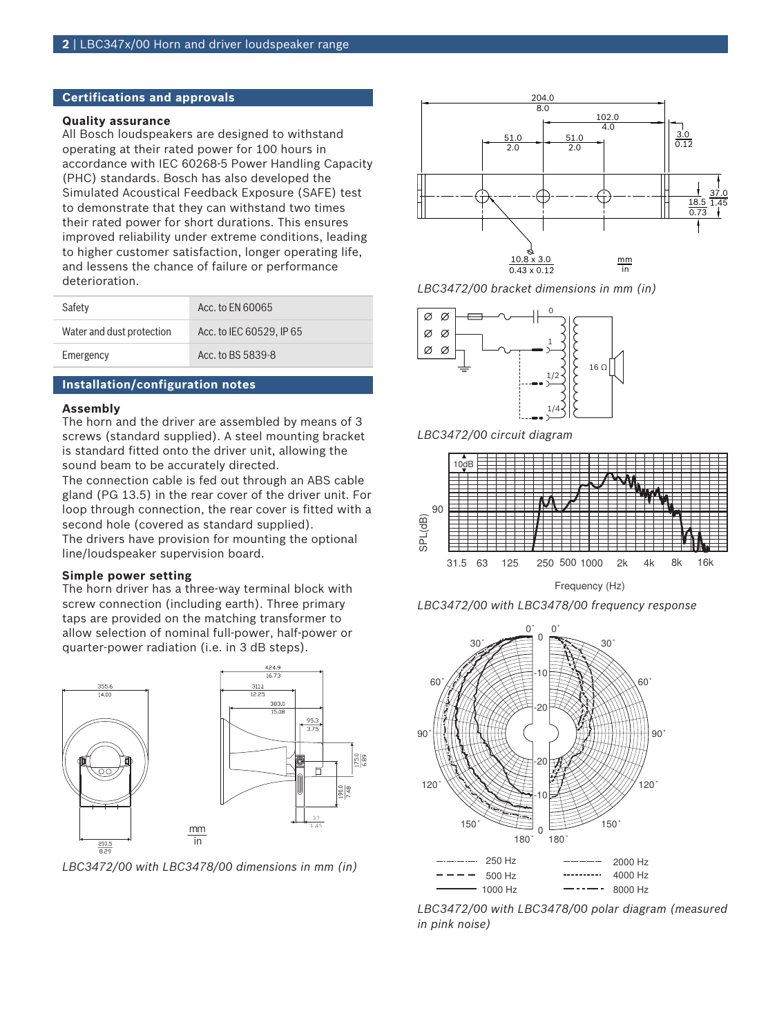## **Certifications and approvals**

#### **Quality assurance**

All Bosch loudspeakers are designed to withstand operating at their rated power for 100 hours in accordance with IEC 60268-5 Power Handling Capacity (PHC) standards. Bosch has also developed the Simulated Acoustical Feedback Exposure (SAFE) test to demonstrate that they can withstand two times their rated power for short durations. This ensures improved reliability under extreme conditions, leading to higher customer satisfaction, longer operating life, and lessens the chance of failure or performance deterioration.

| Safety                    | Acc. to EN 60065         |
|---------------------------|--------------------------|
| Water and dust protection | Acc. to IEC 60529. IP 65 |
| Emergency                 | Acc. to BS 5839-8        |

## **Installation/configuration notes**

#### **Assembly**

The horn and the driver are assembled by means of 3 screws (standard supplied). A steel mounting bracket is standard fitted onto the driver unit, allowing the sound beam to be accurately directed.

The connection cable is fed out through an ABS cable gland (PG 13.5) in the rear cover of the driver unit. For loop through connection, the rear cover is fitted with a second hole (covered as standard supplied). The drivers have provision for mounting the optional line/loudspeaker supervision board.

#### **Simple power setting**

The horn driver has a three‑way terminal block with screw connection (including earth). Three primary taps are provided on the matching transformer to allow selection of nominal full‑power, half‑power or quarter‑power radiation (i.e. in 3 dB steps).



*LBC3472/00 with LBC3478/00 dimensions in mm (in)*



*LBC3472/00 bracket dimensions in mm (in)*



*LBC3472/00 circuit diagram*







*LBC3472/00 with LBC3478/00 polar diagram (measured in pink noise)*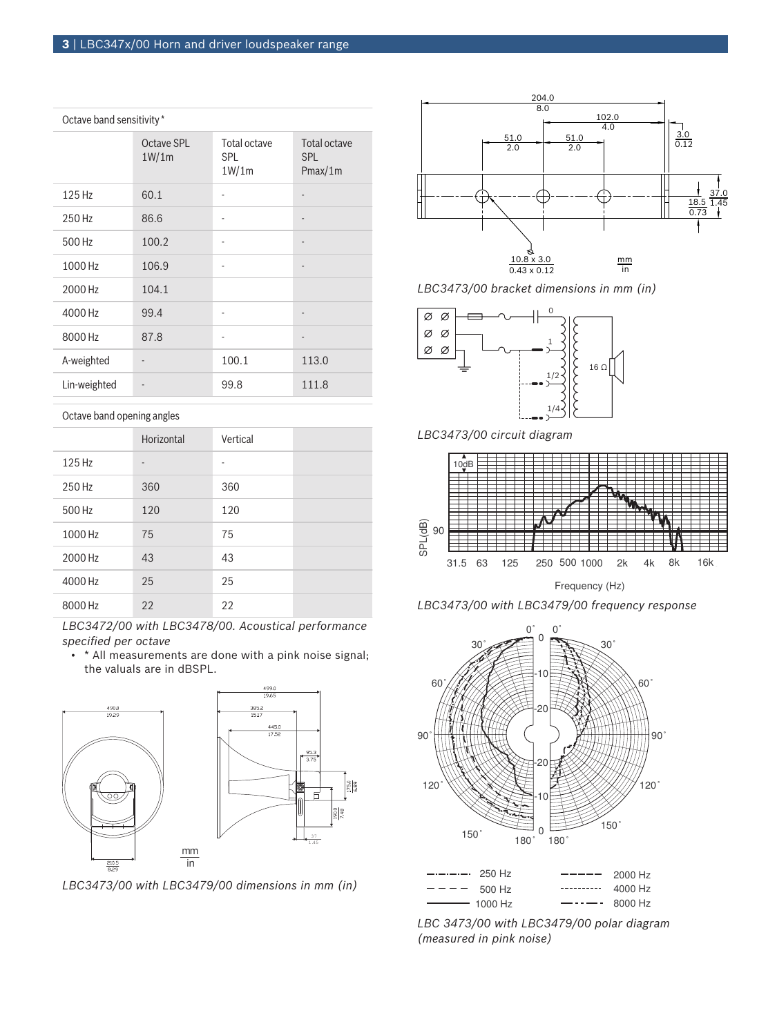| Octave band sensitivity * |                     |                               |                                       |
|---------------------------|---------------------|-------------------------------|---------------------------------------|
|                           | Octave SPL<br>1W/1m | Total octave<br>SPL.<br>1W/1m | Total octave<br><b>SPL</b><br>Pmax/1m |
| 125 Hz                    | 60.1                |                               |                                       |
| 250 Hz                    | 86.6                | ٠                             | -                                     |
| 500 Hz                    | 100.2               |                               |                                       |
| 1000 Hz                   | 106.9               |                               |                                       |
| 2000 Hz                   | 104.1               |                               |                                       |
| 4000 Hz                   | 99.4                |                               |                                       |
| 8000 Hz                   | 87.8                |                               | -                                     |
| A-weighted                |                     | 100.1                         | 113.0                                 |
| Lin-weighted              |                     | 99.8                          | 111.8                                 |

Octave band opening angles

|         | Horizontal | Vertical |  |
|---------|------------|----------|--|
| 125 Hz  | ٠          |          |  |
| 250 Hz  | 360        | 360      |  |
| 500 Hz  | 120        | 120      |  |
| 1000 Hz | 75         | 75       |  |
| 2000 Hz | 43         | 43       |  |
| 4000 Hz | 25         | 25       |  |
| 8000 Hz | 22         | 22       |  |

*LBC3472/00 with LBC3478/00. Acoustical performance specified per octave*

• \* All measurements are done with a pink noise signal; the valuals are in dBSPL.



*LBC3473/00 with LBC3479/00 dimensions in mm (in)*



*LBC3473/00 bracket dimensions in mm (in)*



*LBC3473/00 circuit diagram*







*LBC 3473/00 with LBC3479/00 polar diagram (measured in pink noise)*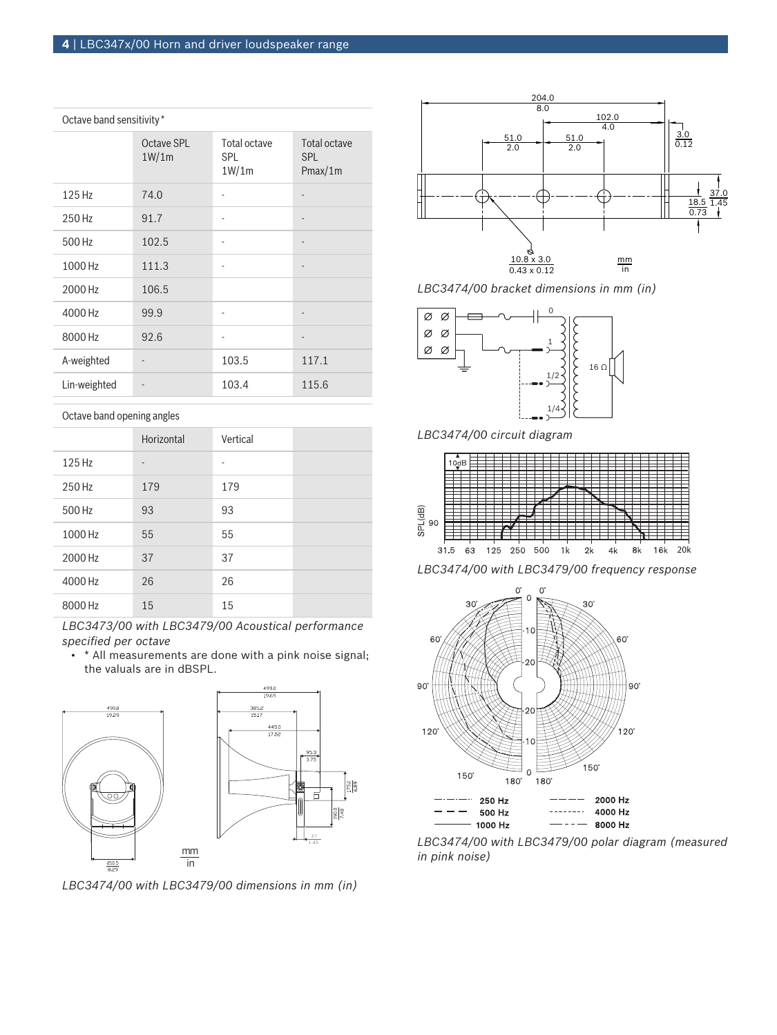| Octave band sensitivity * |                     |                                     |                                              |
|---------------------------|---------------------|-------------------------------------|----------------------------------------------|
|                           | Octave SPL<br>1W/1m | Total octave<br><b>SPL</b><br>1W/1m | <b>Total octave</b><br><b>SPL</b><br>Pmax/1m |
| 125 Hz                    | 74.0                |                                     |                                              |
| 250 Hz                    | 91.7                | ٠                                   |                                              |
| 500 Hz                    | 102.5               |                                     | -                                            |
| 1000 Hz                   | 111.3               | ٠                                   |                                              |
| 2000 Hz                   | 106.5               |                                     |                                              |
| 4000 Hz                   | 99.9                |                                     |                                              |
| 8000 Hz                   | 92.6                |                                     |                                              |
| A-weighted                |                     | 103.5                               | 117.1                                        |
| Lin-weighted              |                     | 103.4                               | 115.6                                        |

Octave band opening angles

|         | Horizontal | Vertical |  |
|---------|------------|----------|--|
| 125 Hz  | ٠          | ۰        |  |
| 250 Hz  | 179        | 179      |  |
| 500 Hz  | 93         | 93       |  |
| 1000 Hz | 55         | 55       |  |
| 2000 Hz | 37         | 37       |  |
| 4000 Hz | 26         | 26       |  |
| 8000 Hz | 15         | 15       |  |

*LBC3473/00 with LBC3479/00 Acoustical performance specified per octave*

• \* All measurements are done with a pink noise signal; the valuals are in dBSPL.



*LBC3474/00 with LBC3479/00 dimensions in mm (in)*



*LBC3474/00 bracket dimensions in mm (in)*



*LBC3474/00 circuit diagram*



*LBC3474/00 with LBC3479/00 frequency response*



*LBC3474/00 with LBC3479/00 polar diagram (measured in pink noise)*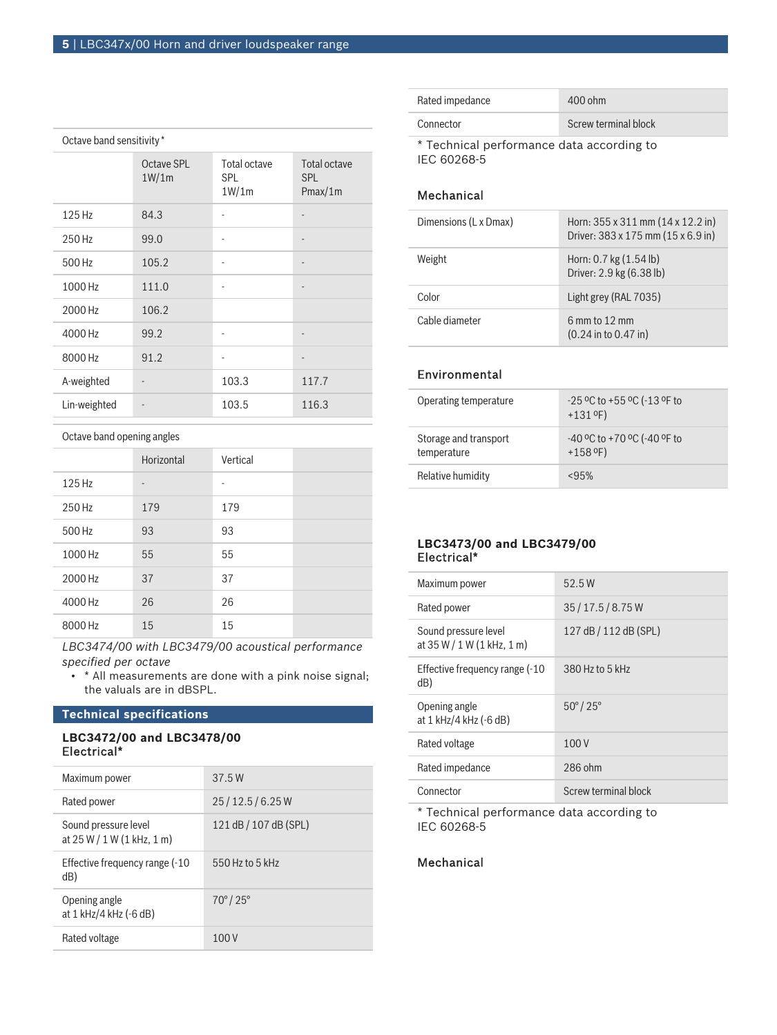#### Octave band sensitivity \*

|              | Octave SPL<br>1W/1m | Total octave<br><b>SPL</b><br>1W/1m | Total octave<br><b>SPL</b><br>Pmax/1m |
|--------------|---------------------|-------------------------------------|---------------------------------------|
| 125 Hz       | 84.3                |                                     |                                       |
| 250 Hz       | 99.0                | ٠                                   | $\overline{\phantom{m}}$              |
| 500 Hz       | 105.2               | ٠                                   |                                       |
| 1000 Hz      | 111.0               | ٠                                   |                                       |
| 2000 Hz      | 106.2               |                                     |                                       |
| 4000 Hz      | 99.2                | ٠                                   |                                       |
| 8000 Hz      | 91.2                | ٠                                   |                                       |
| A-weighted   |                     | 103.3                               | 117.7                                 |
| Lin-weighted |                     | 103.5                               | 116.3                                 |

## Octave band opening angles

|         | Horizontal               | Vertical |  |
|---------|--------------------------|----------|--|
| 125 Hz  | $\overline{\phantom{a}}$ | ٠        |  |
| 250 Hz  | 179                      | 179      |  |
| 500 Hz  | 93                       | 93       |  |
| 1000 Hz | 55                       | 55       |  |
| 2000 Hz | 37                       | 37       |  |
| 4000 Hz | 26                       | 26       |  |
| 8000 Hz | 15                       | 15       |  |

*LBC3474/00 with LBC3479/00 acoustical performance specified per octave*

• \* All measurements are done with a pink noise signal; the valuals are in dBSPL.

## **Technical specifications**

## **LBC3472/00 and LBC3478/00** Electrical\*

| Maximum power                                        | 37.5 W                  |
|------------------------------------------------------|-------------------------|
| Rated power                                          | 25/12.5/6.25W           |
| Sound pressure level<br>at $25 W / 1 W (1 kHz, 1 m)$ | 121 dB / 107 dB (SPL)   |
| Effective frequency range (-10<br>dB)                | 550 Hz to 5 kHz         |
| Opening angle<br>at 1 kHz/4 kHz (-6 dB)              | $70^{\circ}/25^{\circ}$ |
| Rated voltage                                        | 100 V                   |

| Rated impedance | $400$ ohm            |
|-----------------|----------------------|
| Connector       | Screw terminal block |
|                 |                      |

\* Technical performance data according to IEC 60268-5

## Mechanical

| Dimensions (L x Dmax) | Horn: $355 \times 311$ mm $(14 \times 12.2$ in)<br>Driver: 383 x 175 mm (15 x 6.9 in) |
|-----------------------|---------------------------------------------------------------------------------------|
| Weight                | Horn: $0.7$ kg $(1.54$ lb)<br>Driver: 2.9 kg (6.38 lb)                                |
| Color                 | Light grey (RAL 7035)                                                                 |
| Cable diameter        | $6$ mm to $12$ mm<br>$(0.24$ in to $0.47$ in)                                         |

## Environmental

| Operating temperature                | -25 °C to +55 °C (-13 °F to<br>$+131$ <sup>o</sup> F) |
|--------------------------------------|-------------------------------------------------------|
| Storage and transport<br>temperature | $-40$ °C to +70 °C (-40 °F to<br>$+158$ °F)           |
| Relative humidity                    | <95%                                                  |

## **LBC3473/00 and LBC3479/00** Electrical\*

| Maximum power                                        | 52.5 W                  |
|------------------------------------------------------|-------------------------|
| Rated power                                          | 35 / 17.5 / 8.75 W      |
| Sound pressure level<br>at $35 W / 1 W (1 kHz, 1 m)$ | 127 dB / 112 dB (SPL)   |
| Effective frequency range (-10<br>dB)                | 380 Hz to 5 kHz         |
| Opening angle<br>at 1 kHz/4 kHz (-6 dB)              | $50^{\circ}/25^{\circ}$ |
| Rated voltage                                        | 100V                    |
| Rated impedance                                      | 286 ohm                 |
| Connector                                            | Screw terminal block    |

\* Technical performance data according to IEC 60268-5

## Mechanical